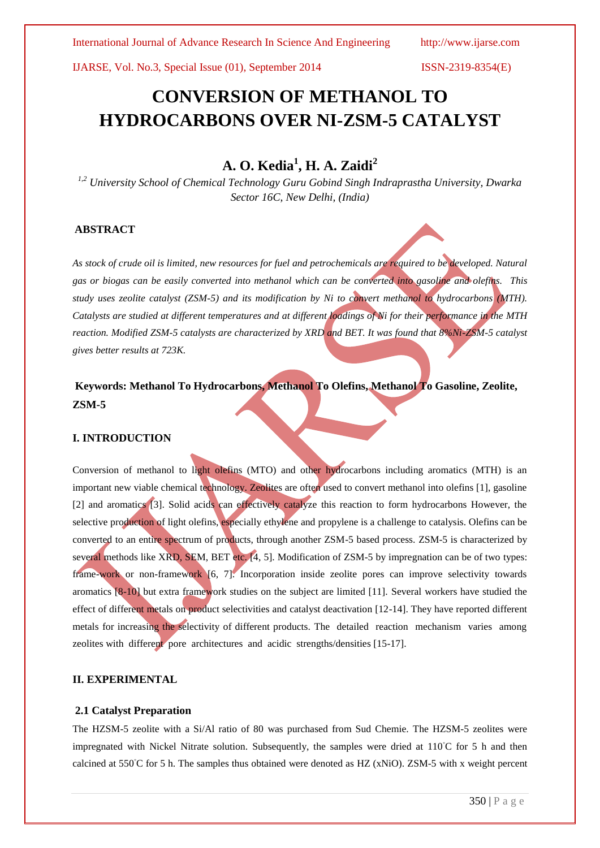IJARSE, Vol. No.3, Special Issue (01), September 2014 ISSN-2319-8354(E)

# **CONVERSION OF METHANOL TO HYDROCARBONS OVER NI-ZSM-5 CATALYST**

## **A. O. Kedia<sup>1</sup> , H. A. Zaidi<sup>2</sup>**

*1,2 University School of Chemical Technology Guru Gobind Singh Indraprastha University, Dwarka Sector 16C, New Delhi, (India)*

#### **ABSTRACT**

*As stock of crude oil is limited, new resources for fuel and petrochemicals are required to be developed. Natural gas or biogas can be easily converted into methanol which can be converted into gasoline and olefins. This study uses zeolite catalyst (ZSM-5) and its modification by Ni to convert methanol to hydrocarbons (MTH). Catalysts are studied at different temperatures and at different loadings of Ni for their performance in the MTH reaction. Modified ZSM-5 catalysts are characterized by XRD and BET. It was found that 8%Ni-ZSM-5 catalyst gives better results at 723K.*

## **Keywords: Methanol To Hydrocarbons, Methanol To Olefins, Methanol To Gasoline, Zeolite, ZSM-5**

#### **I. INTRODUCTION**

Conversion of methanol to light olefins (MTO) and other hydrocarbons including aromatics (MTH) is an important new viable chemical technology. Zeolites are often used to convert methanol into olefins [1], gasoline [2] and aromatics [3]. Solid acids can effectively catalyze this reaction to form hydrocarbons However, the selective production of light olefins, especially ethylene and propylene is a challenge to catalysis. Olefins can be converted to an entire spectrum of products, through another ZSM-5 based process. ZSM-5 is characterized by several methods like XRD, SEM, BET etc. [4, 5]. Modification of ZSM-5 by impregnation can be of two types: frame-work or non-framework [6, 7]. Incorporation inside zeolite pores can improve selectivity towards aromatics [8-10] but extra framework studies on the subject are limited [11]. Several workers have studied the effect of different metals on product selectivities and catalyst deactivation [12-14]. They have reported different metals for increasing the selectivity of different products. The detailed reaction mechanism varies among zeolites with different pore architectures and acidic strengths/densities [15-17].

### **II. EXPERIMENTAL**

#### **2.1 Catalyst Preparation**

The HZSM-5 zeolite with a Si/Al ratio of 80 was purchased from Sud Chemie. The HZSM-5 zeolites were impregnated with Nickel Nitrate solution. Subsequently, the samples were dried at 110◦C for 5 h and then calcined at 550°C for 5 h. The samples thus obtained were denoted as HZ (xNiO). ZSM-5 with x weight percent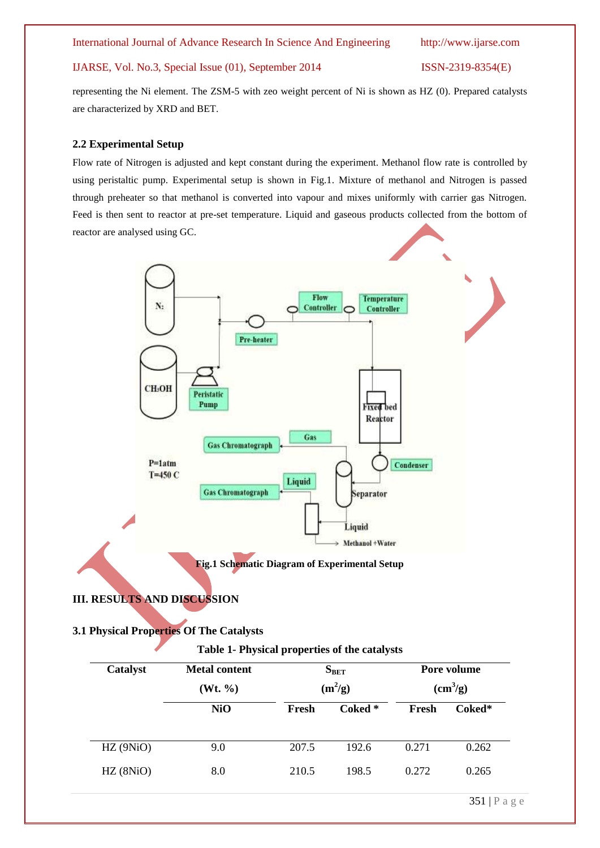International Journal of Advance Research In Science And Engineering http://www.ijarse.com

### IJARSE, Vol. No.3, Special Issue (01), September 2014 ISSN-2319-8354(E)

representing the Ni element. The ZSM-5 with zeo weight percent of Ni is shown as HZ (0). Prepared catalysts are characterized by XRD and BET.

## **2.2 Experimental Setup**

Flow rate of Nitrogen is adjusted and kept constant during the experiment. Methanol flow rate is controlled by using peristaltic pump. Experimental setup is shown in Fig.1. Mixture of methanol and Nitrogen is passed through preheater so that methanol is converted into vapour and mixes uniformly with carrier gas Nitrogen. Feed is then sent to reactor at pre-set temperature. Liquid and gaseous products collected from the bottom of reactor are analysed using GC.



## **III. RESULTS AND DISCUSSION**

## **3.1 Physical Properties Of The Catalysts**

## **Table 1- Physical properties of the catalysts**

| Catalyst | <b>Metal content</b><br>(Wt. %) | $S_{BET}$<br>$(m^2/g)$ |         | Pore volume<br>$(cm^3/g)$ |                 |
|----------|---------------------------------|------------------------|---------|---------------------------|-----------------|
|          | <b>NiO</b>                      | Fresh                  | Coked * | Fresh                     | Coked*          |
| HZ(9NiO) | 9.0                             | 207.5                  | 192.6   | 0.271                     | 0.262           |
| HZ(8NiO) | 8.0                             | 210.5                  | 198.5   | 0.272                     | 0.265           |
|          |                                 |                        |         |                           | $251 \text{ m}$ |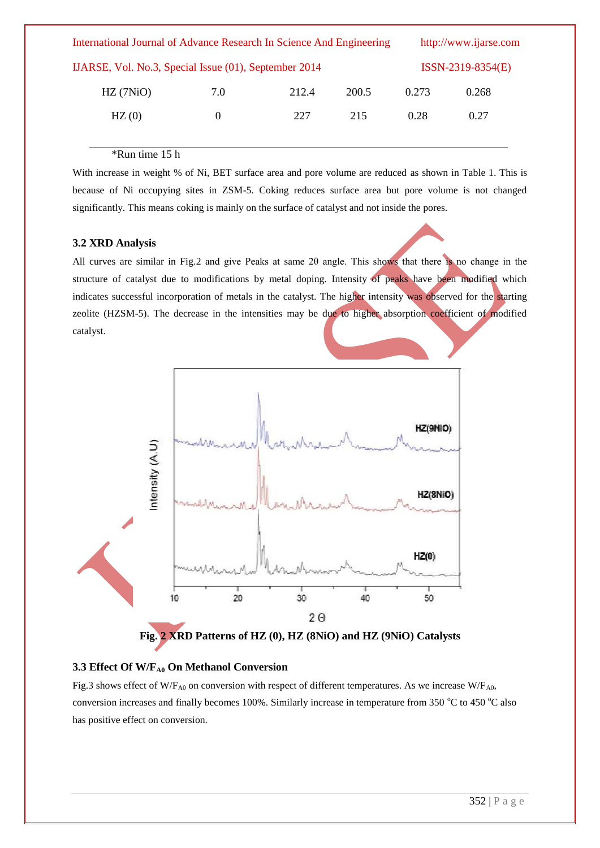| International Journal of Advance Research In Science And Engineering |          |       |       |       | http://www.ijarse.com |  |
|----------------------------------------------------------------------|----------|-------|-------|-------|-----------------------|--|
| IJARSE, Vol. No.3, Special Issue (01), September 2014                |          |       |       |       | $ISSN-2319-8354(E)$   |  |
| HZ(7NiO)                                                             | 7.0      | 212.4 | 200.5 | 0.273 | 0.268                 |  |
| HZ(0)                                                                | $\Omega$ | 227   | 215   | 0.28  | 0.27                  |  |
|                                                                      |          |       |       |       |                       |  |

#### \*Run time 15 h

With increase in weight % of Ni, BET surface area and pore volume are reduced as shown in Table 1. This is because of Ni occupying sites in ZSM-5. Coking reduces surface area but pore volume is not changed significantly. This means coking is mainly on the surface of catalyst and not inside the pores.

#### **3.2 XRD Analysis**

All curves are similar in Fig.2 and give Peaks at same 2θ angle. This shows that there is no change in the structure of catalyst due to modifications by metal doping. Intensity of peaks have been modified which indicates successful incorporation of metals in the catalyst. The higher intensity was observed for the starting zeolite (HZSM-5). The decrease in the intensities may be due to higher absorption coefficient of modified catalyst.



#### **3.3 Effect Of W/FA0 On Methanol Conversion**

Fig.3 shows effect of W/F<sub>A0</sub> on conversion with respect of different temperatures. As we increase W/F<sub>A0</sub>, conversion increases and finally becomes 100%. Similarly increase in temperature from 350  $\degree$ C to 450  $\degree$ C also has positive effect on conversion.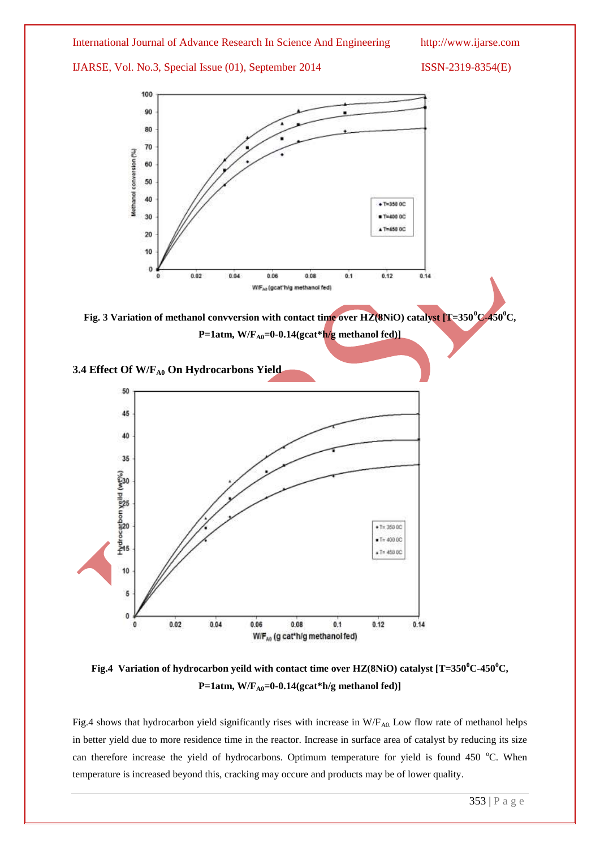#### International Journal of Advance Research In Science And Engineering http://www.ijarse.com

IJARSE, Vol. No.3, Special Issue (01), September 2014 ISSN-2319-8354(E)



**Fig. 3 Variation of methanol convversion with contact time over HZ(8NiO) catalyst [T=350<sup>0</sup>C-450<sup>0</sup>C, P=1atm, W/F**<sub>A0</sub>=0-0.14(gcat\*h/g methanol fed)]

### **3.4 Effect Of W/FA0 On Hydrocarbons Yield**



**Fig.4 Variation of hydrocarbon yeild with contact time over HZ(8NiO) catalyst [T=350<sup>0</sup>C-450<sup>0</sup>C, P=1atm, W/FA0=0-0.14(gcat\*h/g methanol fed)]**

Fig.4 shows that hydrocarbon yield significantly rises with increase in  $W/F_{A0}$  Low flow rate of methanol helps in better yield due to more residence time in the reactor. Increase in surface area of catalyst by reducing its size can therefore increase the yield of hydrocarbons. Optimum temperature for yield is found 450 °C. When temperature is increased beyond this, cracking may occure and products may be of lower quality.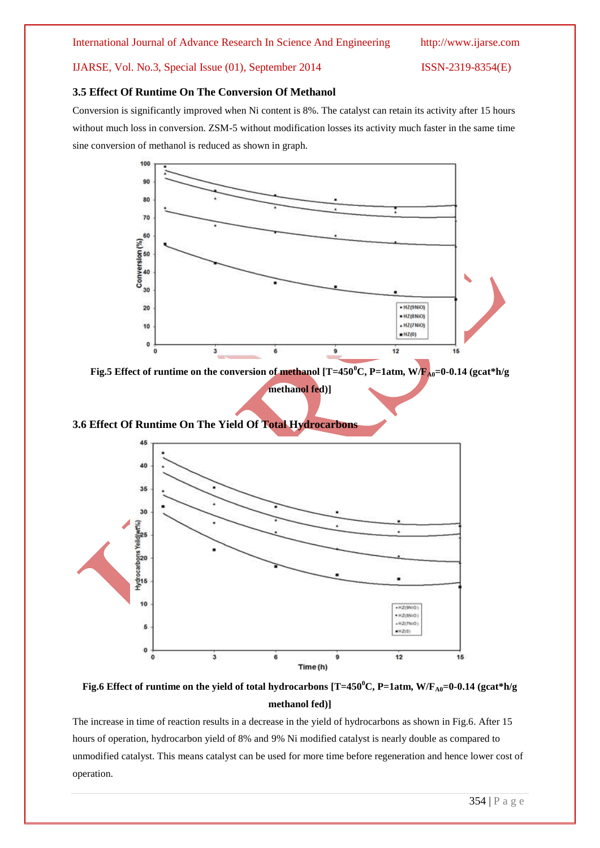#### IJARSE, Vol. No.3, Special Issue (01), September 2014 ISSN-2319-8354(E)

#### **3.5 Effect Of Runtime On The Conversion Of Methanol**

Conversion is significantly improved when Ni content is 8%. The catalyst can retain its activity after 15 hours without much loss in conversion. ZSM-5 without modification losses its activity much faster in the same time sine conversion of methanol is reduced as shown in graph.



**Fig.5 Effect of runtime on the conversion of methanol [T=450<sup>o</sup>C, P=1atm, W/F<sub>A0</sub>=0-0.14 (gcat\*h/g** 

**methanol fed)]**





**Fig.6 Effect of runtime on the yield of total hydrocarbons [T=450 <sup>0</sup>C, P=1atm, W/FA0=0-0.14 (gcat\*h/g methanol fed)]**

The increase in time of reaction results in a decrease in the yield of hydrocarbons as shown in Fig.6. After 15 hours of operation, hydrocarbon yield of 8% and 9% Ni modified catalyst is nearly double as compared to unmodified catalyst. This means catalyst can be used for more time before regeneration and hence lower cost of operation.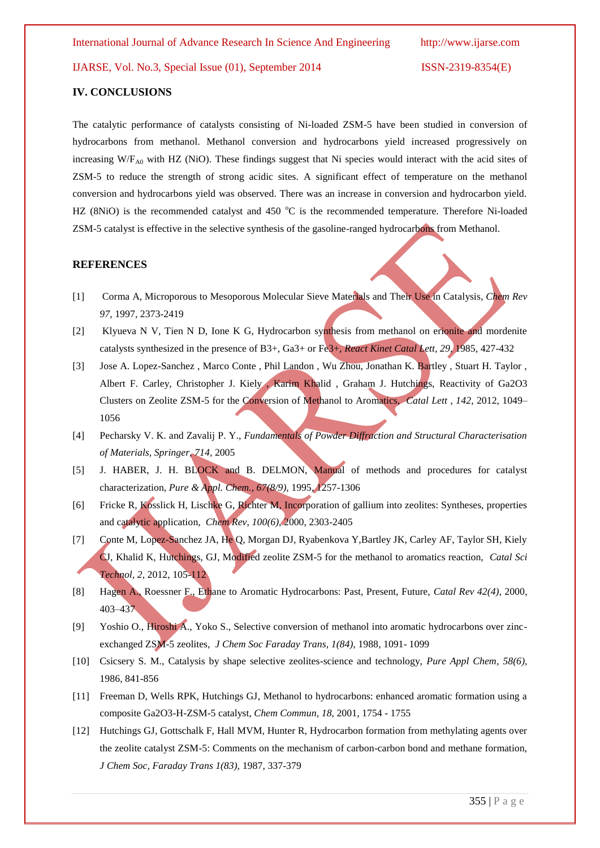IJARSE, Vol. No.3, Special Issue (01), September 2014 ISSN-2319-8354(E)

#### **IV. CONCLUSIONS**

The catalytic performance of catalysts consisting of Ni-loaded ZSM-5 have been studied in conversion of hydrocarbons from methanol. Methanol conversion and hydrocarbons yield increased progressively on increasing W/F<sub>A0</sub> with HZ (NiO). These findings suggest that Ni species would interact with the acid sites of ZSM-5 to reduce the strength of strong acidic sites. A significant effect of temperature on the methanol conversion and hydrocarbons yield was observed. There was an increase in conversion and hydrocarbon yield. HZ (8NiO) is the recommended catalyst and 450  $^{\circ}$ C is the recommended temperature. Therefore Ni-loaded ZSM-5 catalyst is effective in the selective synthesis of the gasoline-ranged hydrocarbons from Methanol.

#### **REFERENCES**

- [1] Corma A, Microporous to Mesoporous Molecular Sieve Materials and Their Use in Catalysis, *Chem Rev 97,* 1997, 2373-2419
- [2] Klyueva N V, Tien N D, Ione K G, Hydrocarbon synthesis from methanol on erionite and mordenite catalysts synthesized in the presence of B3+, Ga3+ or Fe3+, *React Kinet Catal Lett, 29,* 1985, 427-432
- [3] Jose A. Lopez-Sanchez , Marco Conte , Phil Landon , Wu Zhou, Jonathan K. Bartley , Stuart H. Taylor , Albert F. Carley, Christopher J. Kiely , Karim Khalid , Graham J. Hutchings, Reactivity of Ga2O3 Clusters on Zeolite ZSM-5 for the Conversion of Methanol to Aromatics, *Catal Lett* , *142*, 2012, 1049– 1056
- [4] Pecharsky V. K. and Zavalij P. Y., *Fundamentals of Powder Diffraction and Structural Characterisation of Materials, Springer, 714,* 2005
- [5] J. HABER, J. H. BLOCK and B. DELMON, Manual of methods and procedures for catalyst characterization, *Pure & Appl. Chem., 67(8/9)*, 1995, 1257-1306
- [6] Fricke R, Kosslick H, Lischke G, Richter M, Incorporation of gallium into zeolites: Syntheses, properties and catalytic application, *Chem Rev*, *100(6)*, 2000, 2303-2405
- [7] Conte M, Lopez-Sanchez JA, He Q, Morgan DJ, Ryabenkova Y, Bartley JK, Carley AF, Taylor SH, Kiely CJ, Khalid K, Hutchings, GJ, Modified zeolite ZSM-5 for the methanol to aromatics reaction, *Catal Sci Technol, 2*, 2012, 105-112
- [8] Hagen A., Roessner F., Ethane to Aromatic Hydrocarbons: Past, Present, Future, *Catal Rev 42(4)*, 2000, 403–437
- [9] Yoshio O., Hiroshi A., Yoko S., Selective conversion of methanol into aromatic hydrocarbons over zincexchanged ZSM-5 zeolites, *J Chem Soc Faraday Trans, 1(84)*, 1988, 1091- 1099
- [10] Csicsery S. M., Catalysis by shape selective zeolites-science and technology, *Pure Appl Chem, 58(6),*  1986, 841-856
- [11] Freeman D, Wells RPK, Hutchings GJ, Methanol to hydrocarbons: enhanced aromatic formation using a composite Ga2O3-H-ZSM-5 catalyst, *Chem Commun, 18*, 2001, 1754 - 1755
- [12] Hutchings GJ, Gottschalk F, Hall MVM, Hunter R, Hydrocarbon formation from methylating agents over the zeolite catalyst ZSM-5: Comments on the mechanism of carbon-carbon bond and methane formation, *J Chem Soc, Faraday Trans 1(83),* 1987, 337-379